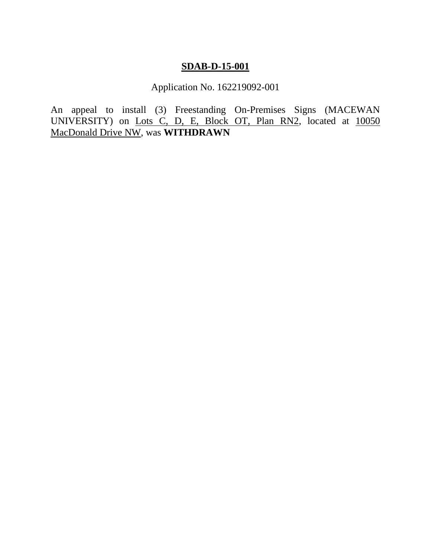# **SDAB-D-15-001**

Application No. 162219092-001

An appeal to install (3) Freestanding On-Premises Signs (MACEWAN UNIVERSITY) on Lots C, D, E, Block OT, Plan RN2, located at 10050 MacDonald Drive NW, was **WITHDRAWN**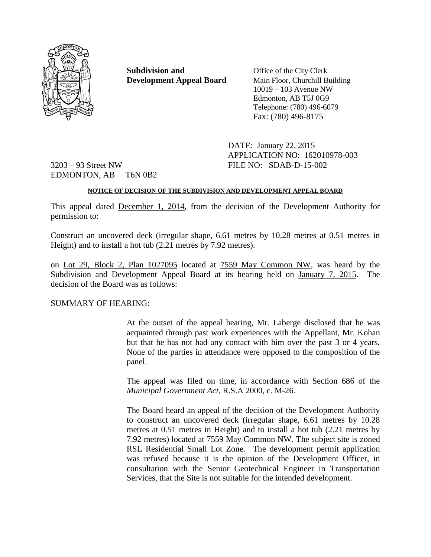

**Subdivision and** Office of the City Clerk **Development Appeal Board** Main Floor, Churchill Building

10019 – 103 Avenue NW Edmonton, AB T5J 0G9 Telephone: (780) 496-6079 Fax: (780) 496-8175

DATE: January 22, 2015 APPLICATION NO: 162010978-003

3203 – 93 Street NW FILE NO: SDAB-D-15-002 EDMONTON, AB T6N 0B2

# **NOTICE OF DECISION OF THE SUBDIVISION AND DEVELOPMENT APPEAL BOARD**

This appeal dated December 1, 2014, from the decision of the Development Authority for permission to:

Construct an uncovered deck (irregular shape, 6.61 metres by 10.28 metres at 0.51 metres in Height) and to install a hot tub (2.21 metres by 7.92 metres).

on Lot 29, Block 2, Plan 1027095 located at 7559 May Common NW, was heard by the Subdivision and Development Appeal Board at its hearing held on January 7, 2015. The decision of the Board was as follows:

# SUMMARY OF HEARING:

At the outset of the appeal hearing, Mr. Laberge disclosed that he was acquainted through past work experiences with the Appellant, Mr. Kohan but that he has not had any contact with him over the past 3 or 4 years. None of the parties in attendance were opposed to the composition of the panel.

The appeal was filed on time, in accordance with Section 686 of the *Municipal Government Act*, R.S.A 2000, c. M-26.

The Board heard an appeal of the decision of the Development Authority to construct an uncovered deck (irregular shape, 6.61 metres by 10.28 metres at 0.51 metres in Height) and to install a hot tub (2.21 metres by 7.92 metres) located at 7559 May Common NW. The subject site is zoned RSL Residential Small Lot Zone. The development permit application was refused because it is the opinion of the Development Officer, in consultation with the Senior Geotechnical Engineer in Transportation Services, that the Site is not suitable for the intended development.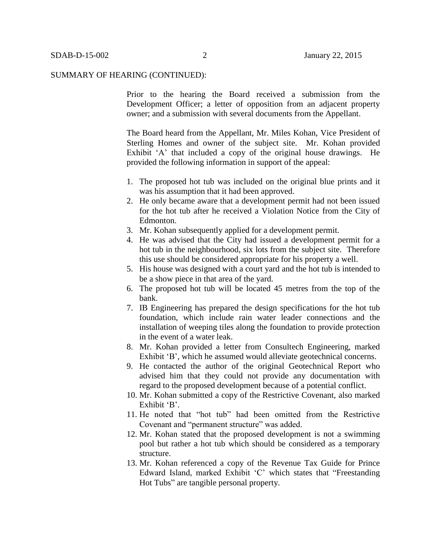Prior to the hearing the Board received a submission from the Development Officer; a letter of opposition from an adjacent property owner; and a submission with several documents from the Appellant.

The Board heard from the Appellant, Mr. Miles Kohan, Vice President of Sterling Homes and owner of the subject site. Mr. Kohan provided Exhibit 'A' that included a copy of the original house drawings. He provided the following information in support of the appeal:

- 1. The proposed hot tub was included on the original blue prints and it was his assumption that it had been approved.
- 2. He only became aware that a development permit had not been issued for the hot tub after he received a Violation Notice from the City of Edmonton.
- 3. Mr. Kohan subsequently applied for a development permit.
- 4. He was advised that the City had issued a development permit for a hot tub in the neighbourhood, six lots from the subject site. Therefore this use should be considered appropriate for his property a well.
- 5. His house was designed with a court yard and the hot tub is intended to be a show piece in that area of the yard.
- 6. The proposed hot tub will be located 45 metres from the top of the bank.
- 7. IB Engineering has prepared the design specifications for the hot tub foundation, which include rain water leader connections and the installation of weeping tiles along the foundation to provide protection in the event of a water leak.
- 8. Mr. Kohan provided a letter from Consultech Engineering, marked Exhibit 'B', which he assumed would alleviate geotechnical concerns.
- 9. He contacted the author of the original Geotechnical Report who advised him that they could not provide any documentation with regard to the proposed development because of a potential conflict.
- 10. Mr. Kohan submitted a copy of the Restrictive Covenant, also marked Exhibit 'B'.
- 11. He noted that "hot tub" had been omitted from the Restrictive Covenant and "permanent structure" was added.
- 12. Mr. Kohan stated that the proposed development is not a swimming pool but rather a hot tub which should be considered as a temporary structure.
- 13. Mr. Kohan referenced a copy of the Revenue Tax Guide for Prince Edward Island, marked Exhibit 'C' which states that "Freestanding Hot Tubs" are tangible personal property.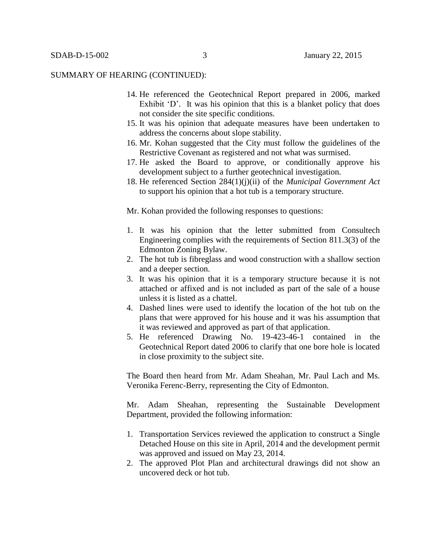- 14. He referenced the Geotechnical Report prepared in 2006, marked Exhibit 'D'. It was his opinion that this is a blanket policy that does not consider the site specific conditions.
- 15. It was his opinion that adequate measures have been undertaken to address the concerns about slope stability.
- 16. Mr. Kohan suggested that the City must follow the guidelines of the Restrictive Covenant as registered and not what was surmised.
- 17. He asked the Board to approve, or conditionally approve his development subject to a further geotechnical investigation.
- 18. He referenced Section 284(1)(j)(ii) of the *Municipal Government Act* to support his opinion that a hot tub is a temporary structure.

Mr. Kohan provided the following responses to questions:

- 1. It was his opinion that the letter submitted from Consultech Engineering complies with the requirements of Section 811.3(3) of the Edmonton Zoning Bylaw.
- 2. The hot tub is fibreglass and wood construction with a shallow section and a deeper section.
- 3. It was his opinion that it is a temporary structure because it is not attached or affixed and is not included as part of the sale of a house unless it is listed as a chattel.
- 4. Dashed lines were used to identify the location of the hot tub on the plans that were approved for his house and it was his assumption that it was reviewed and approved as part of that application.
- 5. He referenced Drawing No. 19-423-46-1 contained in the Geotechnical Report dated 2006 to clarify that one bore hole is located in close proximity to the subject site.

The Board then heard from Mr. Adam Sheahan, Mr. Paul Lach and Ms. Veronika Ferenc-Berry, representing the City of Edmonton.

Mr. Adam Sheahan, representing the Sustainable Development Department, provided the following information:

- 1. Transportation Services reviewed the application to construct a Single Detached House on this site in April, 2014 and the development permit was approved and issued on May 23, 2014.
- 2. The approved Plot Plan and architectural drawings did not show an uncovered deck or hot tub.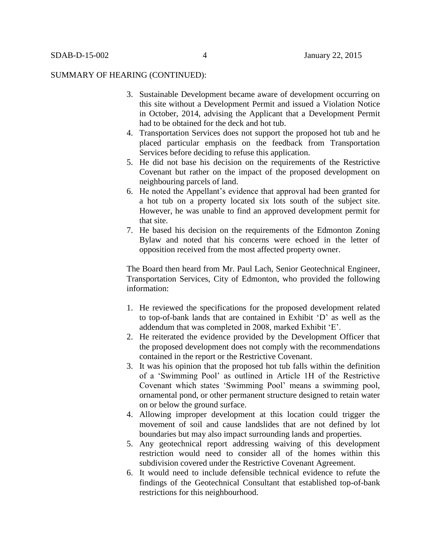- 3. Sustainable Development became aware of development occurring on this site without a Development Permit and issued a Violation Notice in October, 2014, advising the Applicant that a Development Permit had to be obtained for the deck and hot tub.
- 4. Transportation Services does not support the proposed hot tub and he placed particular emphasis on the feedback from Transportation Services before deciding to refuse this application.
- 5. He did not base his decision on the requirements of the Restrictive Covenant but rather on the impact of the proposed development on neighbouring parcels of land.
- 6. He noted the Appellant's evidence that approval had been granted for a hot tub on a property located six lots south of the subject site. However, he was unable to find an approved development permit for that site.
- 7. He based his decision on the requirements of the Edmonton Zoning Bylaw and noted that his concerns were echoed in the letter of opposition received from the most affected property owner.

The Board then heard from Mr. Paul Lach, Senior Geotechnical Engineer, Transportation Services, City of Edmonton, who provided the following information:

- 1. He reviewed the specifications for the proposed development related to top-of-bank lands that are contained in Exhibit 'D' as well as the addendum that was completed in 2008, marked Exhibit 'E'.
- 2. He reiterated the evidence provided by the Development Officer that the proposed development does not comply with the recommendations contained in the report or the Restrictive Covenant.
- 3. It was his opinion that the proposed hot tub falls within the definition of a 'Swimming Pool' as outlined in Article 1H of the Restrictive Covenant which states 'Swimming Pool' means a swimming pool, ornamental pond, or other permanent structure designed to retain water on or below the ground surface.
- 4. Allowing improper development at this location could trigger the movement of soil and cause landslides that are not defined by lot boundaries but may also impact surrounding lands and properties.
- 5. Any geotechnical report addressing waiving of this development restriction would need to consider all of the homes within this subdivision covered under the Restrictive Covenant Agreement.
- 6. It would need to include defensible technical evidence to refute the findings of the Geotechnical Consultant that established top-of-bank restrictions for this neighbourhood.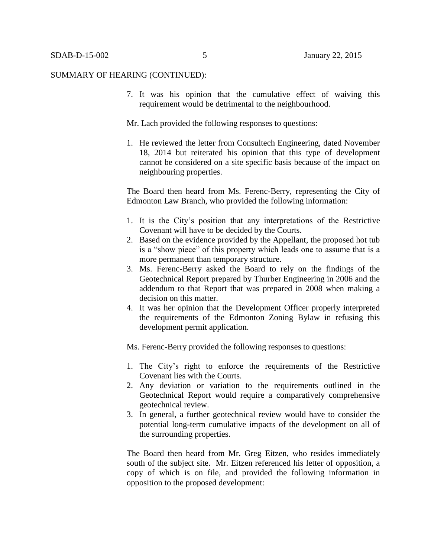7. It was his opinion that the cumulative effect of waiving this requirement would be detrimental to the neighbourhood.

Mr. Lach provided the following responses to questions:

1. He reviewed the letter from Consultech Engineering, dated November 18, 2014 but reiterated his opinion that this type of development cannot be considered on a site specific basis because of the impact on neighbouring properties.

The Board then heard from Ms. Ferenc-Berry, representing the City of Edmonton Law Branch, who provided the following information:

- 1. It is the City's position that any interpretations of the Restrictive Covenant will have to be decided by the Courts.
- 2. Based on the evidence provided by the Appellant, the proposed hot tub is a "show piece" of this property which leads one to assume that is a more permanent than temporary structure.
- 3. Ms. Ferenc-Berry asked the Board to rely on the findings of the Geotechnical Report prepared by Thurber Engineering in 2006 and the addendum to that Report that was prepared in 2008 when making a decision on this matter.
- 4. It was her opinion that the Development Officer properly interpreted the requirements of the Edmonton Zoning Bylaw in refusing this development permit application.

Ms. Ferenc-Berry provided the following responses to questions:

- 1. The City's right to enforce the requirements of the Restrictive Covenant lies with the Courts.
- 2. Any deviation or variation to the requirements outlined in the Geotechnical Report would require a comparatively comprehensive geotechnical review.
- 3. In general, a further geotechnical review would have to consider the potential long-term cumulative impacts of the development on all of the surrounding properties.

The Board then heard from Mr. Greg Eitzen, who resides immediately south of the subject site. Mr. Eitzen referenced his letter of opposition, a copy of which is on file, and provided the following information in opposition to the proposed development: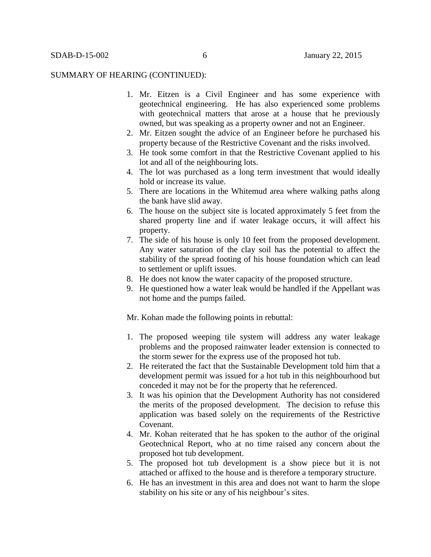- 1. Mr. Eitzen is a Civil Engineer and has some experience with geotechnical engineering. He has also experienced some problems with geotechnical matters that arose at a house that he previously owned, but was speaking as a property owner and not an Engineer.
- 2. Mr. Eitzen sought the advice of an Engineer before he purchased his property because of the Restrictive Covenant and the risks involved.
- 3. He took some comfort in that the Restrictive Covenant applied to his lot and all of the neighbouring lots.
- 4. The lot was purchased as a long term investment that would ideally hold or increase its value.
- 5. There are locations in the Whitemud area where walking paths along the bank have slid away.
- 6. The house on the subject site is located approximately 5 feet from the shared property line and if water leakage occurs, it will affect his property.
- 7. The side of his house is only 10 feet from the proposed development. Any water saturation of the clay soil has the potential to affect the stability of the spread footing of his house foundation which can lead to settlement or uplift issues.
- 8. He does not know the water capacity of the proposed structure.
- 9. He questioned how a water leak would be handled if the Appellant was not home and the pumps failed.

Mr. Kohan made the following points in rebuttal:

- 1. The proposed weeping tile system will address any water leakage problems and the proposed rainwater leader extension is connected to the storm sewer for the express use of the proposed hot tub.
- 2. He reiterated the fact that the Sustainable Development told him that a development permit was issued for a hot tub in this neighbourhood but conceded it may not be for the property that he referenced.
- 3. It was his opinion that the Development Authority has not considered the merits of the proposed development. The decision to refuse this application was based solely on the requirements of the Restrictive Covenant.
- 4. Mr. Kohan reiterated that he has spoken to the author of the original Geotechnical Report, who at no time raised any concern about the proposed hot tub development.
- 5. The proposed hot tub development is a show piece but it is not attached or affixed to the house and is therefore a temporary structure.
- 6. He has an investment in this area and does not want to harm the slope stability on his site or any of his neighbour's sites.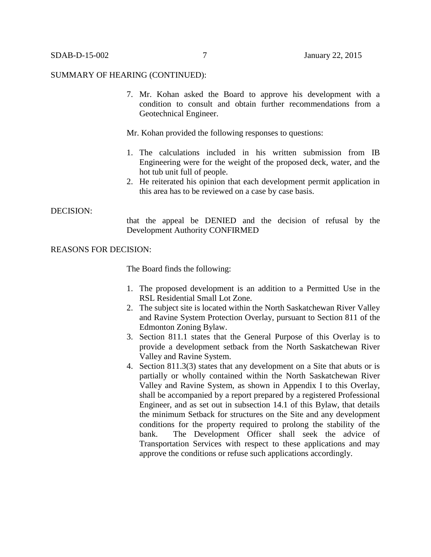7. Mr. Kohan asked the Board to approve his development with a condition to consult and obtain further recommendations from a Geotechnical Engineer.

Mr. Kohan provided the following responses to questions:

- 1. The calculations included in his written submission from IB Engineering were for the weight of the proposed deck, water, and the hot tub unit full of people.
- 2. He reiterated his opinion that each development permit application in this area has to be reviewed on a case by case basis.

#### DECISION:

that the appeal be DENIED and the decision of refusal by the Development Authority CONFIRMED

REASONS FOR DECISION:

The Board finds the following:

- 1. The proposed development is an addition to a Permitted Use in the RSL Residential Small Lot Zone.
- 2. The subject site is located within the North Saskatchewan River Valley and Ravine System Protection Overlay, pursuant to Section 811 of the Edmonton Zoning Bylaw.
- 3. Section 811.1 states that the General Purpose of this Overlay is to provide a development setback from the North Saskatchewan River Valley and Ravine System.
- 4. Section 811.3(3) states that any development on a Site that abuts or is partially or wholly contained within the North Saskatchewan River Valley and Ravine System, as shown in Appendix I to this Overlay, shall be accompanied by a report prepared by a registered Professional Engineer, and as set out in subsection 14.1 of this Bylaw, that details the minimum Setback for structures on the Site and any development conditions for the property required to prolong the stability of the bank. The Development Officer shall seek the advice of Transportation Services with respect to these applications and may approve the conditions or refuse such applications accordingly.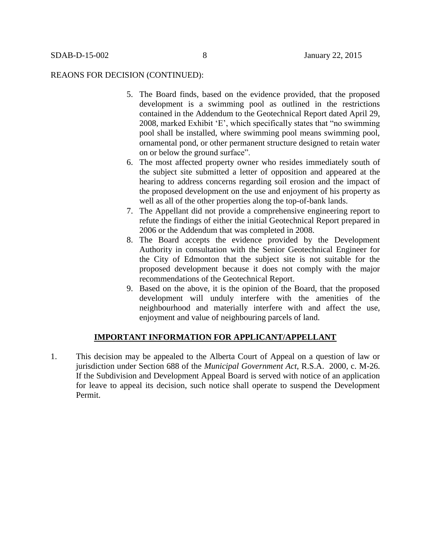#### REAONS FOR DECISION (CONTINUED):

- 5. The Board finds, based on the evidence provided, that the proposed development is a swimming pool as outlined in the restrictions contained in the Addendum to the Geotechnical Report dated April 29, 2008, marked Exhibit 'E', which specifically states that "no swimming pool shall be installed, where swimming pool means swimming pool, ornamental pond, or other permanent structure designed to retain water on or below the ground surface".
- 6. The most affected property owner who resides immediately south of the subject site submitted a letter of opposition and appeared at the hearing to address concerns regarding soil erosion and the impact of the proposed development on the use and enjoyment of his property as well as all of the other properties along the top-of-bank lands.
- 7. The Appellant did not provide a comprehensive engineering report to refute the findings of either the initial Geotechnical Report prepared in 2006 or the Addendum that was completed in 2008.
- 8. The Board accepts the evidence provided by the Development Authority in consultation with the Senior Geotechnical Engineer for the City of Edmonton that the subject site is not suitable for the proposed development because it does not comply with the major recommendations of the Geotechnical Report.
- 9. Based on the above, it is the opinion of the Board, that the proposed development will unduly interfere with the amenities of the neighbourhood and materially interfere with and affect the use, enjoyment and value of neighbouring parcels of land.

# **IMPORTANT INFORMATION FOR APPLICANT/APPELLANT**

1. This decision may be appealed to the Alberta Court of Appeal on a question of law or jurisdiction under Section 688 of the *Municipal Government Act*, R.S.A. 2000, c. M-26. If the Subdivision and Development Appeal Board is served with notice of an application for leave to appeal its decision, such notice shall operate to suspend the Development Permit.